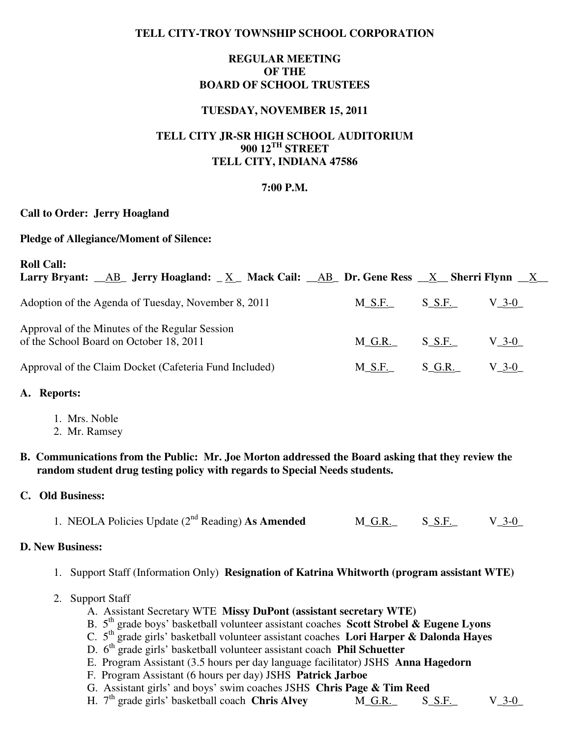## **TELL CITY-TROY TOWNSHIP SCHOOL CORPORATION**

## **REGULAR MEETING OF THE BOARD OF SCHOOL TRUSTEES**

## **TUESDAY, NOVEMBER 15, 2011**

# **TELL CITY JR-SR HIGH SCHOOL AUDITORIUM 900 12TH STREET TELL CITY, INDIANA 47586**

### **7:00 P.M.**

### **Call to Order: Jerry Hoagland**

### **Pledge of Allegiance/Moment of Silence:**

| <b>Roll Call:</b><br>Larry Bryant: $\angle$ AB Jerry Hoagland: $\angle$ X Mack Cail: $\angle$ AB Dr. Gene Ress $\angle$ X Sherri Flynn $\angle$ X |           |           |               |
|---------------------------------------------------------------------------------------------------------------------------------------------------|-----------|-----------|---------------|
| Adoption of the Agenda of Tuesday, November 8, 2011                                                                                               | $M\_S.F.$ | $S\_S.F.$ | $V_{-}3-0$    |
| Approval of the Minutes of the Regular Session<br>of the School Board on October 18, 2011                                                         | M G.R.    | $S\_S.F.$ | $V_{-}3-0$    |
| Approval of the Claim Docket (Cafeteria Fund Included)                                                                                            | $M_S.F.$  | $S_G.R.$  | $V_{\rm 3-0}$ |

### **A. Reports:**

- 1. Mrs. Noble
- 2. Mr. Ramsey
- **B. Communications from the Public: Mr. Joe Morton addressed the Board asking that they review the random student drug testing policy with regards to Special Needs students.**

## **C. Old Business:**

| 1. NEOLA Policies Update $(2^{nd}$ Reading) As Amended | M G.R. | S S.F. | $V_3-0$ |
|--------------------------------------------------------|--------|--------|---------|
|--------------------------------------------------------|--------|--------|---------|

#### **D. New Business:**

- 1. Support Staff (Information Only) **Resignation of Katrina Whitworth (program assistant WTE)**
- 2. Support Staff
	- A. Assistant Secretary WTE **Missy DuPont (assistant secretary WTE)**
- B. 5th grade boys' basketball volunteer assistant coaches **Scott Strobel & Eugene Lyons**
- C. 5th grade girls' basketball volunteer assistant coaches **Lori Harper & Dalonda Hayes** 
	- D. 6th grade girls' basketball volunteer assistant coach **Phil Schuetter**
	- E. Program Assistant (3.5 hours per day language facilitator) JSHS **Anna Hagedorn**
	- F. Program Assistant (6 hours per day) JSHS **Patrick Jarboe**
	- G. Assistant girls' and boys' swim coaches JSHS **Chris Page & Tim Reed**
	- H. 7<sup>th</sup> grade girls' basketball coach **Chris Alvey** M\_G.R. S\_S.F. V\_3-0\_